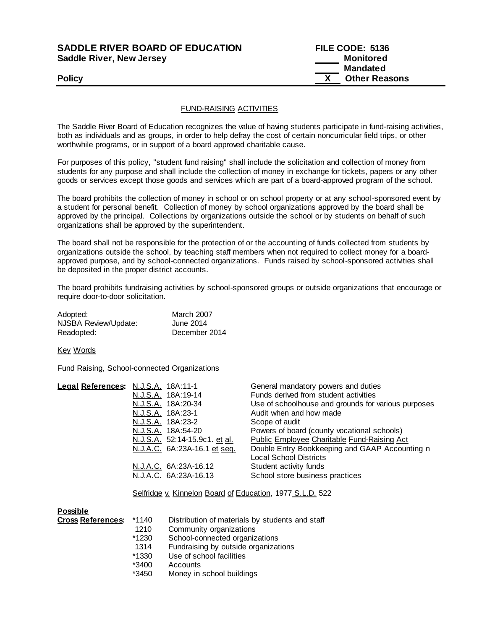### **SADDLE RIVER BOARD OF EDUCATION FILE CODE: 5136 Saddle River, New Jersey Monitored Monitored**

# **Mandated Policy X Other Reasons**

### FUND-RAISING ACTIVITIES

The Saddle River Board of Education recognizes the value of having students participate in fund-raising activities, both as individuals and as groups, in order to help defray the cost of certain noncurricular field trips, or other worthwhile programs, or in support of a board approved charitable cause.

For purposes of this policy, "student fund raising" shall include the solicitation and collection of money from students for any purpose and shall include the collection of money in exchange for tickets, papers or any other goods or services except those goods and services which are part of a board-approved program of the school.

The board prohibits the collection of money in school or on school property or at any school-sponsored event by a student for personal benefit. Collection of money by school organizations approved by the board shall be approved by the principal. Collections by organizations outside the school or by students on behalf of such organizations shall be approved by the superintendent.

The board shall not be responsible for the protection of or the accounting of funds collected from students by organizations outside the school, by teaching staff members when not required to collect money for a boardapproved purpose, and by school-connected organizations. Funds raised by school-sponsored activities shall be deposited in the proper district accounts.

The board prohibits fundraising activities by school-sponsored groups or outside organizations that encourage or require door-to-door solicitation.

| Adopted:             | <b>March 2007</b> |
|----------------------|-------------------|
| NJSBA Review/Update: | June 2014         |
| Readopted:           | December 2014     |

Key Words

Fund Raising, School-connected Organizations

| Legal References: N.J.S.A. 18A:11-1 |                               | General mandatory powers and duties                 |
|-------------------------------------|-------------------------------|-----------------------------------------------------|
|                                     | N.J.S.A. 18A:19-14            | Funds derived from student activities               |
|                                     | <u>N.J.S.A.</u> 18A:20-34     | Use of schoolhouse and grounds for various purposes |
|                                     | N.J.S.A. 18A:23-1             | Audit when and how made                             |
|                                     | N.J.S.A. 18A:23-2             | Scope of audit                                      |
|                                     | N.J.S.A. 18A:54-20            | Powers of board (county vocational schools)         |
|                                     | N.J.S.A. 52:14-15.9c1. et al. | <b>Public Employee Charitable Fund-Raising Act</b>  |
|                                     | N.J.A.C. 6A:23A-16.1 et seq.  | Double Entry Bookkeeping and GAAP Accounting n      |
|                                     |                               | <b>Local School Districts</b>                       |
|                                     | N.J.A.C. 6A:23A-16.12         | Student activity funds                              |
|                                     | N.J.A.C. 6A:23A-16.13         | School store business practices                     |
|                                     |                               |                                                     |

Selfridge v. Kinnelon Board of Education, 1977 S.L.D. 522

| <b>Possible</b>          |         |                                                 |
|--------------------------|---------|-------------------------------------------------|
| <b>Cross References:</b> | *1140   | Distribution of materials by students and staff |
|                          | 1210    | Community organizations                         |
|                          | *1230   | School-connected organizations                  |
|                          | 1314    | Fundraising by outside organizations            |
|                          | *1330   | Use of school facilities                        |
|                          | *3400   | Accounts                                        |
|                          | $*01E0$ | وموزاه انبط لممطمم ونبروهما                     |

\*3450 Money in school buildings